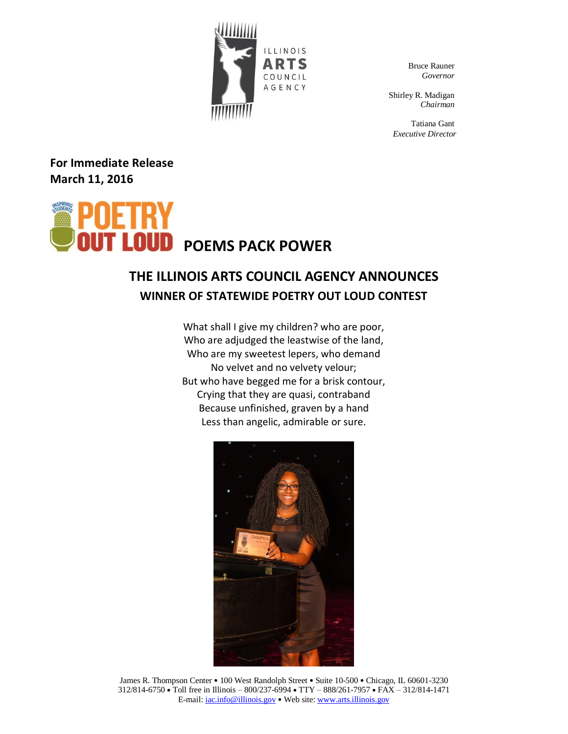

Bruce Rauner *Governor*

Shirley R. Madigan *Chairman*

Tatiana Gant *Executive Director*

**For Immediate Release March 11, 2016**



## **THE ILLINOIS ARTS COUNCIL AGENCY ANNOUNCES WINNER OF STATEWIDE POETRY OUT LOUD CONTEST**

What shall I give my children? who are poor, Who are adjudged the leastwise of the land, Who are my sweetest lepers, who demand No velvet and no velvety velour; But who have begged me for a brisk contour, Crying that they are quasi, contraband Because unfinished, graven by a hand Less than angelic, admirable or sure.



James R. Thompson Center • 100 West Randolph Street • Suite 10-500 • Chicago, IL 60601-3230 312/814-6750 Toll free in Illinois – 800/237-6994 TTY – 888/261-7957 FAX – 312/814-1471 E-mail:  $iac.info@illinois.gov \cdot$  Web site[: www.arts.illinois.gov](http://www.arts.illinois.gov/)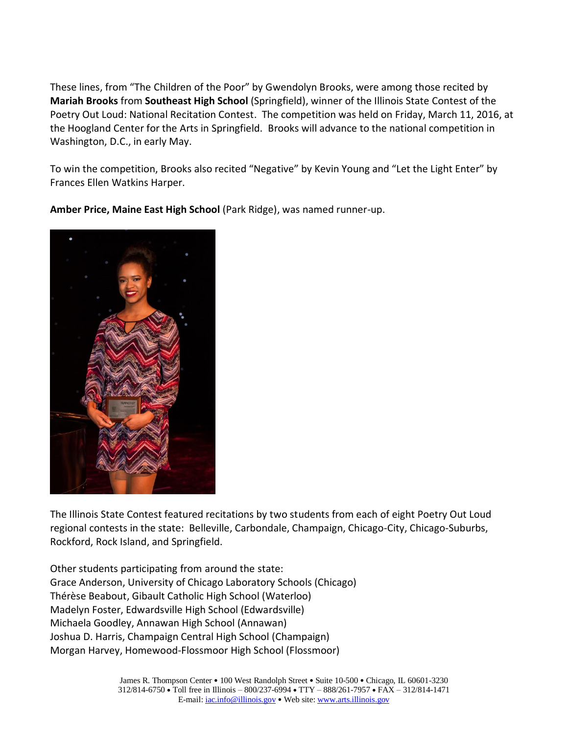These lines, from "The Children of the Poor" by Gwendolyn Brooks, were among those recited by **Mariah Brooks** from **Southeast High School** (Springfield), winner of the Illinois State Contest of the Poetry Out Loud: National Recitation Contest. The competition was held on Friday, March 11, 2016, at the Hoogland Center for the Arts in Springfield. Brooks will advance to the national competition in Washington, D.C., in early May.

To win the competition, Brooks also recited "Negative" by Kevin Young and "Let the Light Enter" by Frances Ellen Watkins Harper.

**Amber Price, Maine East High School** (Park Ridge), was named runner-up.



The Illinois State Contest featured recitations by two students from each of eight Poetry Out Loud regional contests in the state: Belleville, Carbondale, Champaign, Chicago-City, Chicago-Suburbs, Rockford, Rock Island, and Springfield.

Other students participating from around the state: Grace Anderson, University of Chicago Laboratory Schools (Chicago) Thérèse Beabout, Gibault Catholic High School (Waterloo) Madelyn Foster, Edwardsville High School (Edwardsville) Michaela Goodley, Annawan High School (Annawan) Joshua D. Harris, Champaign Central High School (Champaign) Morgan Harvey, Homewood-Flossmoor High School (Flossmoor)